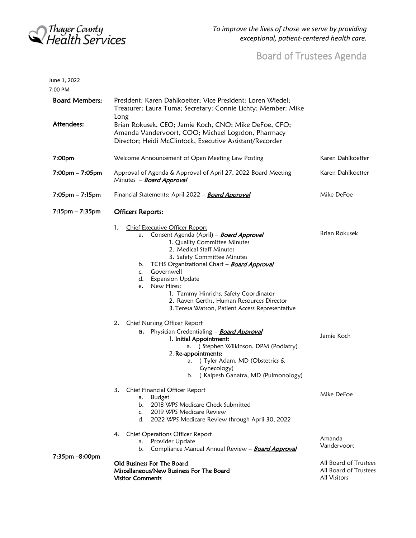

June 1, 2022

## Board of Trustees Agenda

| 7:00 PM                             |                                                                                                                                                                                                                                                                                                                                                                                                                                                                                                                                                            |                                                                       |
|-------------------------------------|------------------------------------------------------------------------------------------------------------------------------------------------------------------------------------------------------------------------------------------------------------------------------------------------------------------------------------------------------------------------------------------------------------------------------------------------------------------------------------------------------------------------------------------------------------|-----------------------------------------------------------------------|
| <b>Board Members:</b><br>Attendees: | President: Karen Dahlkoetter; Vice President: Loren Wiedel;<br>Treasurer: Laura Tuma; Secretary: Connie Lichty; Member: Mike<br>Long<br>Brian Rokusek, CEO; Jamie Koch, CNO; Mike DeFoe, CFO;<br>Amanda Vandervoort, COO; Michael Logsdon, Pharmacy                                                                                                                                                                                                                                                                                                        |                                                                       |
|                                     | Director; Heidi McClintock, Executive Assistant/Recorder                                                                                                                                                                                                                                                                                                                                                                                                                                                                                                   |                                                                       |
| 7:00pm                              | Welcome Announcement of Open Meeting Law Posting                                                                                                                                                                                                                                                                                                                                                                                                                                                                                                           | Karen Dahlkoetter                                                     |
| 7:00pm - 7:05pm                     | Approval of Agenda & Approval of April 27, 2022 Board Meeting<br>Minutes - <b>Board Approval</b>                                                                                                                                                                                                                                                                                                                                                                                                                                                           | Karen Dahlkoetter                                                     |
| $7:05$ pm – $7:15$ pm               | Financial Statements: April 2022 - Board Approval                                                                                                                                                                                                                                                                                                                                                                                                                                                                                                          | Mike DeFoe                                                            |
| $7:15$ pm $-7:35$ pm                | <b>Officers Reports:</b>                                                                                                                                                                                                                                                                                                                                                                                                                                                                                                                                   |                                                                       |
|                                     | 1.<br><b>Chief Executive Officer Report</b><br>Consent Agenda (April) - Board Approval<br>а.<br>1. Quality Committee Minutes<br>2. Medical Staff Minutes<br>3. Safety Committee Minutes<br>b. TCHS Organizational Chart - <b>Board Approval</b><br>Governwell<br>c.<br>d. Expansion Update<br>New Hires:<br>e.<br>1. Tammy Hinrichs, Safety Coordinator<br>2. Raven Gerths, Human Resources Director<br>3. Teresa Watson, Patient Access Representative<br><b>Chief Nursing Officer Report</b><br>2.<br>a. Physician Credentialing - <b>Board Approval</b> | <b>Brian Rokusek</b><br>Jamie Koch                                    |
|                                     | 1. Initial Appointment:<br>) Stephen Wilkinson, DPM (Podiatry)<br>а.<br>2. Re-appointments:<br>) Tyler Adam, MD (Obstetrics &<br>a.<br>Gynecology)<br>) Kalpesh Ganatra, MD (Pulmonology)<br>b.                                                                                                                                                                                                                                                                                                                                                            |                                                                       |
|                                     | 3. Chief Financial Officer Report<br><b>Budget</b><br>а.<br>2018 WPS Medicare Check Submitted<br>b.<br>2019 WPS Medicare Review<br>$\mathsf{C}$ .<br>2022 WPS Medicare Review through April 30, 2022<br>d.                                                                                                                                                                                                                                                                                                                                                 | Mike DeFoe                                                            |
|                                     | <b>Chief Operations Officer Report</b><br>4.<br>Provider Update<br>a.<br>Compliance Manual Annual Review - Board Approval<br>b.                                                                                                                                                                                                                                                                                                                                                                                                                            | Amanda<br>Vandervoort                                                 |
| 7:35pm -8:00pm                      | Old Business For The Board<br>Miscellaneous/New Business For The Board<br><b>Visitor Comments</b>                                                                                                                                                                                                                                                                                                                                                                                                                                                          | All Board of Trustees<br>All Board of Trustees<br><b>All Visitors</b> |